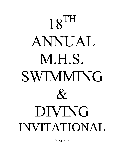## $18$ TH ANNUAL M.H.S. SWIMMING  $\mathcal{X}_{I}$ DIVING INVITATIONAL

01/07/12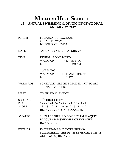#### **MILFORD HIGH SCHOOL 18TH ANNUAL SWIMMING & DIVING INVITATIONAL JANUARY 07, 2012**

- PLACE: MILFORD HIGH SCHOOL #1 EAGLES WAY MILFORD, OH 45150
- DATE: JANUARY 07,2012 (SATURDAY)
- TIME: DIVING (6 DIVE MEET) WARM-UP  $7:30 - 8:30$  AM MEET 8:40 AM

 SWIMMING WARM-UP 11:15 AM – 1:45 PM MEET 1:35 PM

- WARM-UPS: SCHEDULE WILL BE E-MAILED OUT TO ALL TEAMS INVOLVED.
- MEET: TIMED FINAL EVENTS

SCORING:  $1^{ST}$  THROUGH  $12^{TH}$ PLACE:  $1 - 2 - 3 - 4 - 5 - 6 - 7 - 8 - 9 - 10 - 11 - 12$ SCORE:  $16 - 13 - 12 - 11 - 10 - 9 - 7 - 5 - 4 - 3 - 2 - 1$ RELAYS EVENTS ARE DOUBLED

- AWARDS:  $1^{ST}$  PLACE GIRL'S & BOY'S TEAM PLAQUES. PLAQUES FOR SWIMMER OF THE MEET – BOY & GIRL.
- ENTRIES: EACH TEAM MAY ENTER FIVE (5) SWIMMERS/DIVERS PER INDIVIDUAL EVENTS AND TWO (2) RELAYS.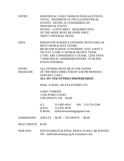| <b>ENTRY:</b>       | INDIVIDUAL'S MAY SWIM IN FOUR (4) EVENTS<br>TOTAL. MAXIMUM OF TWO (2) INDIVIDUAL<br>EVENTS. DIVING IS CONSIDERED AN<br><b>INDIVIDUAL EVENT.</b><br>DIVING - 6 DIVE MEET. REQUIRED DIVE<br>OF THE WEEK MUST BE DONE FIRST,<br>THEN 5 OPTIONAL DIVES.                                 |
|---------------------|-------------------------------------------------------------------------------------------------------------------------------------------------------------------------------------------------------------------------------------------------------------------------------------|
| FEES:               | \$200.00 FOR SCHOOLS ENTERING BOTH GIRLS &<br><b>BOYS SWIM &amp; DIVE TEAMS.</b><br>\$85.00 FOR SCHOOL'S ENTERING JUST A BOY'S<br>OR JUST A GIRL'S SWIM & OR DIVE TEAM.<br>(7 IND. ARE CONSIDERED A TEAM). LESS THAN<br>7 INDIVIDUAL SWIMMERS/DIVERS - \$7.00 PER<br>EVENT ENTERED. |
| <b>ENTRY</b>        | ALL ENTRIES MUST BE IN THE HANDS                                                                                                                                                                                                                                                    |
| <b>DEADLINE:</b>    | OF THE MEET DIRECTOR BY 6:00 PM MONDAY,                                                                                                                                                                                                                                             |
|                     | <b>JANUARY 2,2012.</b>                                                                                                                                                                                                                                                              |
|                     | <b>ALL HY-TEK ENTRIES PREPERFERED!</b>                                                                                                                                                                                                                                              |
|                     | MAIL, E-MAIL, OR FAX ENTRIES TO:                                                                                                                                                                                                                                                    |
|                     | <b>GARY TAMERIS</b>                                                                                                                                                                                                                                                                 |
|                     | 11365 POMO COURT                                                                                                                                                                                                                                                                    |
|                     | CINCINNATI, OH 45249                                                                                                                                                                                                                                                                |
|                     | 513-885-4814<br>$(W)$ 513-576-2240<br>(C)<br>$(FAX)$ 513-831-8230<br>E-MAIL: milfordswimming@gmail.com                                                                                                                                                                              |
| ADMISSIONS:         | ADULTS - \$6.00 / STUDENTS - \$4.00                                                                                                                                                                                                                                                 |
| <b>HEAT SHEETS:</b> | \$2.00                                                                                                                                                                                                                                                                              |
| <b>WEB SITE:</b>    | PSYCH SHEETS & FINAL RESULTS WILL BE POSTED<br>$ON$ - milfordswimming.org $&$ swimmeet.com                                                                                                                                                                                          |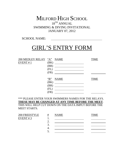#### MILFORD HIGH SCHOOL 18<sup>TH</sup> ANNUAL SWIMMING & DIVING INVITATIONAL JANUARY 07, 2012

SCHOOL NAME:

## GIRL'S ENTRY FORM

| 200 MEDLEY RELAY "A" NAME |              |                                                                                                                        | TIME        |
|---------------------------|--------------|------------------------------------------------------------------------------------------------------------------------|-------------|
| EVENT#1                   | (BK)         |                                                                                                                        |             |
|                           | (BR)         |                                                                                                                        |             |
|                           | (FL)         | <u> 1989 - John Stein, mars and de Branch and de Branch and de Branch and de Branch and de Branch and de Branch an</u> |             |
|                           | (FR)         |                                                                                                                        |             |
|                           |              |                                                                                                                        |             |
|                           | $\mathbf{B}$ | <b>NAME</b>                                                                                                            | <b>TIME</b> |
|                           | (BK)         |                                                                                                                        |             |
|                           | (BR)         |                                                                                                                        |             |
|                           | (FL)         |                                                                                                                        |             |
|                           | (FR)         |                                                                                                                        |             |

\*\*\* PLEASE ENTER YOUR SWIMMERS NAMES FOR THE RELAYS. **THESE MAY BE CHANGED AT ANY TIME BEFORE THE MEET**. THIS WILL HELP CUT DOWN ON THE DATA IMPUT BEFORE THE MEET STARTS.

| 200 FREESTYLE<br>EVENT # 3 | #  | <b>NAME</b> | TIME |
|----------------------------|----|-------------|------|
|                            |    |             |      |
|                            |    |             |      |
|                            | ┱. |             |      |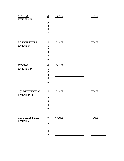| 200 I.M.<br>EVENT # 5             | $\frac{\#}{\#}$<br>1.<br>2.<br>3.<br>4.<br>5.       | <b>NAME</b> | <b>TIME</b> |
|-----------------------------------|-----------------------------------------------------|-------------|-------------|
| 50 FREESTYLE<br>EVENT # 7         | $\frac{\#}{1}$<br>2.<br>3.<br>4.<br>5.              | <b>NAME</b> | <b>TIME</b> |
| <b>DIVING</b><br>EVENT#9          | $\frac{\text{#}}{\text{1}}$<br>2.<br>3.<br>4.<br>5. | <b>NAME</b> |             |
| 100 BUTTERFLY<br>EVENT # 11       | $\frac{\#}{1}$<br>2.<br>3.<br>4.<br>5.              | <b>NAME</b> | <b>TIME</b> |
| 100 FREESTYLE<br><b>EVENT #13</b> | #<br>1.<br>2.<br>3.<br>4.                           | <b>NAME</b> | <b>TIME</b> |

5.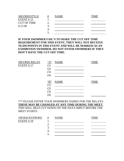| 500 FREESTYLE      | $^{\#}$ | NAME | MН |
|--------------------|---------|------|----|
| EVENT # 15         |         |      |    |
| <b>CUT OF TIME</b> |         |      |    |
| 6:15.00            | .,      |      |    |
|                    |         |      |    |
|                    |         |      |    |

#### **IF YOUR SWIMMER FAIL'S TO MAKE THE CUT OFF TIME REQUIREMENT FOR THIS EVENT, THEY WILL NOT RECEIVE TEAM POINTS IN THIS EVENT AND WILL BE MARKED AS AN EXHIBITION SWIMMER. DO NOT ENTER SWIMMERS IF THEY DON'T HAVE THE CUT OFF TIME.**

EVENT # 17 (1)

200 FREE RELAY "A" NAME TIME (2) <u> 1999 - Johann Barbara, martin a</u> (3) <u> 1990 - Johann Barbara, martin d</u> (4) "B" NAME TIME (1) (2) (3) (4)

\*\*\* PLEASE ENTER YOUR SWIMMERS NAMES FOR THE RELAYS. **THESE MAY BE CHANGED AT ANY TIME DURING THE MEET**. THIS WILL HELP CUT DOWN ON THE DATA IMPUT BEFORE THE MEET STARTS.

| 100 BACKSTROKE | # | <b>NAME</b> | TIME |
|----------------|---|-------------|------|
| $EVENT \# 19$  |   |             |      |
|                |   |             |      |
|                |   |             |      |
|                |   |             |      |
|                |   |             |      |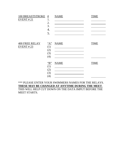| 100 BREASTSTROKE #<br>EVENT#21    | 1.<br>2.<br>3.<br>4.<br>5.            | <b>NAME</b> | <b>TIME</b> |
|-----------------------------------|---------------------------------------|-------------|-------------|
| <b>400 FREE RELAY</b><br>EVENT#23 | "A"<br>(1)<br>(2)<br>(3)<br>(4)       | <b>NAME</b> | <b>TIME</b> |
|                                   | $\lq B$ "<br>(1)<br>(2)<br>(3)<br>(4) | <b>NAME</b> | <b>TIME</b> |

\*\*\* PLEASE ENTER YOUR SWIMMERS NAMES FOR THE RELAYS. **THESE MAY BE CHANGED AT ANYTIME DURING THE MEET**. THIS WILL HELP CUT DOWN ON THE DATA IMPUT BEFORE THE MEET STARTS.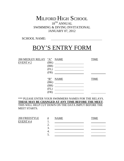#### MILFORD HIGH SCHOOL 18<sup>TH</sup> ANNUAL SWIMMING & DIVING INVITATIONAL JANUARY 07, 2012

SCHOOL NAME:

## BOY'S ENTRY FORM

| 200 MEDLEY RELAY "A" NAME |                |                                                                                                                    | TIME        |
|---------------------------|----------------|--------------------------------------------------------------------------------------------------------------------|-------------|
| EVENT#2                   | (BK)           |                                                                                                                    |             |
|                           | (BR)           | the contract of the contract of the contract of the contract of the contract of                                    |             |
|                           | (FL)           | <u> 1980 - Jan Stein Harry Harry Harry Harry Harry Harry Harry Harry Harry Harry Harry Harry Harry Harry Harry</u> |             |
|                           | (FR)           |                                                                                                                    |             |
|                           |                |                                                                                                                    |             |
|                           | $\mathbf{B}$ " | <b>NAME</b>                                                                                                        | <b>TIME</b> |
|                           | (BK)           |                                                                                                                    |             |
|                           | (BR)           |                                                                                                                    |             |
|                           | (FL)           |                                                                                                                    |             |
|                           | (FR)           |                                                                                                                    |             |

\*\*\* PLEASE ENTER YOUR SWIMMERS NAMES FOR THE RELAYS. **THESE MAY BE CHANGED AT ANY TIME BEFORE THE MEET**. THIS WILL HELP CUT DOWN ON THE DATA IMPUT BEFORE THE MEET STARTS.

200 FREESTYLE # NAME TIME EVENT  $\# 4$  1. <u> Alexandria (Carlo Carlo Carlo Carlo Carlo Carlo Carlo Carlo Carlo Carlo Carlo Carlo Carlo Carlo Carlo Carlo C</u> 2. <u> 1990 - Johann Barbara, martin a</u> 3. 4. <u> 1989 - Johann Barbara, martin a</u>  $5.$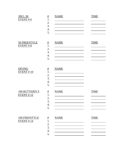| 200 I.M.<br>EVENT # 6       | $\frac{\#}{1}$<br>2.<br>3.<br>4.<br>5.                             | <b>NAME</b> | <b>TIME</b> |
|-----------------------------|--------------------------------------------------------------------|-------------|-------------|
| 50 FREESTYLE<br>EVENT # 8   | #<br>1.<br>2.<br>3.<br>4.<br>5.                                    | <b>NAME</b> | <b>TIME</b> |
| <b>DIVING</b><br>EVENT # 10 | $\overline{\underline{\textbf{\#}}}$<br>1.<br>2.<br>3.<br>4.<br>5. | <b>NAME</b> |             |
| 100 BUTTERFLY<br>EVENT # 12 | $\frac{\#}{1}$<br>2.<br>3.<br>$\overline{4}$<br>5.                 | <b>NAME</b> | <b>TIME</b> |
| 100 FREESTYLE<br>EVENT # 14 | $\frac{\text{#}}{\text{1}}$<br>2.<br>3.<br>4.<br>5.                | <b>NAME</b> | <b>TIME</b> |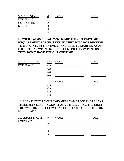| 500 FREESTYLE       | # | <b>NAME</b> | `IME |
|---------------------|---|-------------|------|
| EVENT # 16          |   |             |      |
| <b>CUT OFF TIME</b> |   |             |      |
| 6:15.00             |   |             |      |
|                     |   |             |      |
|                     |   |             |      |

#### **IF YOUR SWIMMER FAIL'S TO MAKE THE CUT OFF TIME REQUIREMENT FOR THIS EVENT, THEY WILL NOT RECEIVE TEAM POINTS IN THIS EVENT AND WILL BE MARKED AS AN EXHIBITION SWIMMER. DO NOT ENTER THE SWIMMERS IF THEY DON'T HAVE THE CUT OFF TIME.**

EVENT # 18  $(1)$ 

200 FREE RELAY "A" NAME TIME (2) <u> 1999 - Johann Barbara, martin a</u> (3) (4) "B" NAME TIME (1) (2) (3) (4)

\*\*\* PLEASE ENTER YOUR SWIMMERS NAMES FOR THE RELAYS. **THESE MAY BE CHANGED AT ANY TIME DURING THE MEET.** THIS WILL HELP CUT DOWN ON THE DATA IMPUT BEFORE THE MEET STARTS.

| <b>100 BACKSTROKE</b> | # | <b>NAME</b> | TIME |
|-----------------------|---|-------------|------|
| EVENT # 20            |   |             |      |
|                       |   |             |      |
|                       |   |             |      |
|                       |   |             |      |
|                       |   |             |      |
|                       |   |             |      |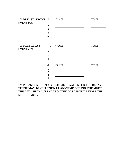| 100 BREASTSTROKE #<br>EVENT#22     | 1.<br>2.<br>3.<br>4.<br>5.  | <b>NAME</b> | <b>TIME</b> |
|------------------------------------|-----------------------------|-------------|-------------|
| <b>400 FREE RELAY</b><br>EVENT #24 | "A"<br>1.<br>2.<br>3.<br>4. | <b>NAME</b> | <b>TIME</b> |
|                                    | #<br>1.<br>2.<br>3.<br>4.   | <b>NAME</b> | <b>TIME</b> |

#### \*\*\* PLEASE ENTER YOUR SWIMMERS NAMES FOR THE RELAYS. **THESE MAY BE CHANGED AT ANYTIME DURING THE MEET.** THIS WILL HELP CUT DOWN ON THE DATA IMPUT BEFORE THE MEET STARTS.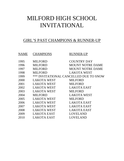## MILFORD HIGH SCHOOL INVITATIONAL

#### GIRL'S PAST CHAMPIONS & RUNNER-UP

| NAME | <b>CHAMPIONS</b>   | <b>RUNNER-UP</b>                              |
|------|--------------------|-----------------------------------------------|
| 1995 | <b>MILFORD</b>     | <b>COUNTRY DAY</b>                            |
| 1996 | <b>MILFORD</b>     | <b>MOUNT NOTRE DAME</b>                       |
| 1997 | <b>MILFORD</b>     | <b>MOUNT NOTRE DAME</b>                       |
| 1998 | <b>MILFORD</b>     | <b>LAKOTA WEST</b>                            |
| 1999 |                    | <b>*** INVITATIONAL CANCELLED DUE TO SNOW</b> |
| 2000 | <b>LAKOTA WEST</b> | MILFORD                                       |
| 2001 | <b>LAKOTA WEST</b> | <b>MILFORD</b>                                |
| 2002 | <b>LAKOTA WEST</b> | LAKOTA EAST                                   |
| 2003 | <b>LAKOTA WEST</b> | MILFORD                                       |
| 2004 | <b>MILFORD</b>     | <b>LAKOTA WEST</b>                            |
| 2005 | <b>LAKOTA WEST</b> | <b>MILFORD</b>                                |
| 2006 | <b>LAKOTA WEST</b> | <b>LAKOTA EAST</b>                            |
| 2007 | <b>LAKOTA WEST</b> | <b>LAKOTA EAST</b>                            |
| 2008 | <b>LAKOTA WEST</b> | <b>LAKOTA EAST</b>                            |
| 2009 | LAKOTA EAST        | LOVELAND                                      |
| 2010 | LAKOTA EAST        | LOVELAND                                      |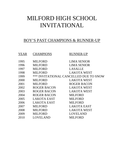## MILFORD HIGH SCHOOL INVITATIONAL

#### BOY'S PAST CHAMPIONS & RUNNER-UP

| YEAR | <b>CHAMPIONS</b>   | <b>RUNNER-UP</b>                              |
|------|--------------------|-----------------------------------------------|
| 1995 | <b>MILFORD</b>     | <b>LIMA SENIOR</b>                            |
| 1996 | <b>MILFORD</b>     | <b>LIMA SENIOR</b>                            |
| 1997 | <b>MILFORD</b>     | LASALLE                                       |
| 1998 | <b>MILFORD</b>     | <b>LAKOTA WEST</b>                            |
| 1999 |                    | <b>*** INVITATIONAL CANCELLED DUE TO SNOW</b> |
| 2000 | <b>MILFORD</b>     | <b>LAKOTA WEST</b>                            |
| 2001 | <b>MILFORD</b>     | <b>ROGER BACON</b>                            |
| 2002 | ROGER BACON        | <b>LAKOTA WEST</b>                            |
| 2003 | <b>ROGER BACON</b> | <b>LAKOTA WEST</b>                            |
| 2004 | <b>ROGER BACON</b> | <b>MILFORD</b>                                |
| 2005 | LAKOTA EAST        | <b>MILFORD</b>                                |
| 2006 | <b>LAKOTA EAST</b> | <b>MILFORD</b>                                |
| 2007 | <b>MILFORD</b>     | <b>LAKOTA EAST</b>                            |
| 2008 | <b>MILFORD</b>     | LAKOTA WEST                                   |
| 2009 | <b>MILFORD</b>     | LOVELAND                                      |
| 2010 | LOVELAND           | MILFORD                                       |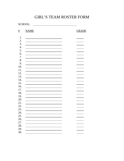#### GIRL'S TEAM ROSTER FORM

SCHOOL:

| #          | <b>NAME</b> | <b>GRADE</b> |
|------------|-------------|--------------|
| 1.         |             |              |
| 2.         |             |              |
| 3.         |             |              |
| 4.         |             |              |
| 5.         |             |              |
| 6.         |             |              |
| 7.         |             |              |
| 8.         |             |              |
| 9.         |             |              |
| 10.        |             |              |
| 11.        |             |              |
| 12.        |             |              |
| 13.        |             |              |
| 14.        |             |              |
| 15.        |             |              |
| 16.<br>17. |             |              |
| 18.        |             |              |
|            |             |              |
| 19.<br>20. |             |              |
| 21.        |             |              |
| 22.        |             |              |
| 23.        |             |              |
| 24.        |             |              |
| 25.        |             |              |
| 26.        |             |              |
| 27.        |             |              |
| 28.        |             |              |
| 29.        |             |              |
| 30.        |             |              |
|            |             |              |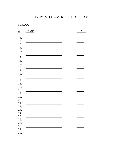#### BOY'S TEAM ROSTER FORM

SCHOOL:

| #   | <b>NAME</b> | <b>GRADE</b> |  |
|-----|-------------|--------------|--|
| 1.  |             |              |  |
| 2.  |             |              |  |
| 3.  |             |              |  |
| 4.  |             |              |  |
| 5.  |             |              |  |
| 6.  |             |              |  |
| 7.  |             |              |  |
| 8.  |             |              |  |
| 9.  |             |              |  |
| 10. |             |              |  |
| 11. |             |              |  |
| 12. |             |              |  |
| 13. |             |              |  |
| 14. |             |              |  |
| 15. |             |              |  |
| 16. |             |              |  |
| 17. |             |              |  |
| 18. |             |              |  |
| 19. |             |              |  |
| 20. |             |              |  |
| 21. |             |              |  |
| 22. |             |              |  |
| 23. |             |              |  |
| 24. |             |              |  |
| 25. |             |              |  |
| 26. |             |              |  |
| 27. |             |              |  |
| 28. |             |              |  |
| 29. |             |              |  |
| 30. |             |              |  |
|     |             |              |  |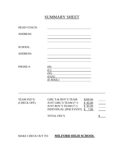#### SUMMARY SHEET

| <b>HEAD COACH:</b> |                                        |
|--------------------|----------------------------------------|
| <b>ADDRESS:</b>    |                                        |
|                    |                                        |
| <b>SCHOOL:</b>     |                                        |
| <b>ADDRESS:</b>    |                                        |
| PHONE#:            | (H)<br>(C)<br>(W)<br>(FAX)<br>(E-MAIL) |
|                    |                                        |
|                    |                                        |

| TEAM FEE'S: | <b>GIRL'S &amp; BOY'S TEAM</b> | \$200.00 |  |
|-------------|--------------------------------|----------|--|
| (CHECK OFF) | JUST GIRL'S TEAM $(7+)$        | \$85.00  |  |
|             | JUST BOY'S TEAM $(7+)$         | \$85.00  |  |
|             | INDIVIDUAL (PER EVENT) $$7.00$ |          |  |
|             |                                |          |  |

--------------------------------------------------------------------------------------------

TOTAL FEE'S

#### MAKE CHECK OUT TO: **MILFORD HIGH SCHOOL**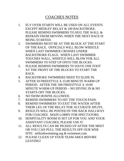#### COACHES NOTES

- 1. FLY OVER STARTS WILL BE USED ON ALL EVENTS EXCEPT MEDLEY RELAY & 100 BACKSTROKE. PLEASE REMIND SWIMMERS TO HUG THE WALL & REFRAIN FROM MOVING WHEN THE NEXT RACE IS BEING STARTED.
- 2. SWIMMERS MUST BE AT THE BLOCK AT THE START OF THE RACE. OFFICIALS WILL BLOW WHISTLE WHEN LAST SWIMMER CROSSES UNDER BACKSTROKE FLAGS. WHEN LAST SWIMMER TOUCHES WALL, WHISTLE WILL BLOW FOR ALL SWIMMERS TO STEP UP ONTO THE BLOCKS.
- 3. PLEASE REMIND SWIMMERS TO HAVE ONE FOOT AT THE FRONT OF THE BLOCKS TO START THE RACE.
- 4. BACKSTROKE SWIMMERS NEED TO SLIDE IN.
- 5. AFTER 50 FREESTYLE A 15:00 MINUTE WARM-UP PERIOD. AFTER THE 500 FREESTYLE A 10:00 MINUTE WARM-UP PERIOD – NO DIVING IN & NO STARTS OFF THE BLOCKS.
- 6. NO SWIM DOWNS ALLOWED.
- 7. REMIND SWIMMERS TO HIT THE TOUCH PADS.
- 8. REMIND SWIMMERS TO EXIT THE WATER AFTER THEIR LEG OF THE RELAY FOR ACCURATE SPLITS.
- 9. RESULTS WILL BE POSTED IN THE BACK HALLWAY FOR COACHES. MAIN LOBBY FOR SPECTATORS.
- 10. HOSPITALITY ROOM IS SET UP FOR YOU AND YOUR ASSISTANT COACHES, PLEASE USE IT.
- 11. ALL RESULTS CAN BE PICKED UP AFTER THE MEET OR YOU CAN PULL THE RESULTS OFF OUR WEB SITE: milfordswimming.org & swimmeet.com
- 12. PLEASE CLEAN UP YOUR TEAM AREA BEFORE LEAVING!